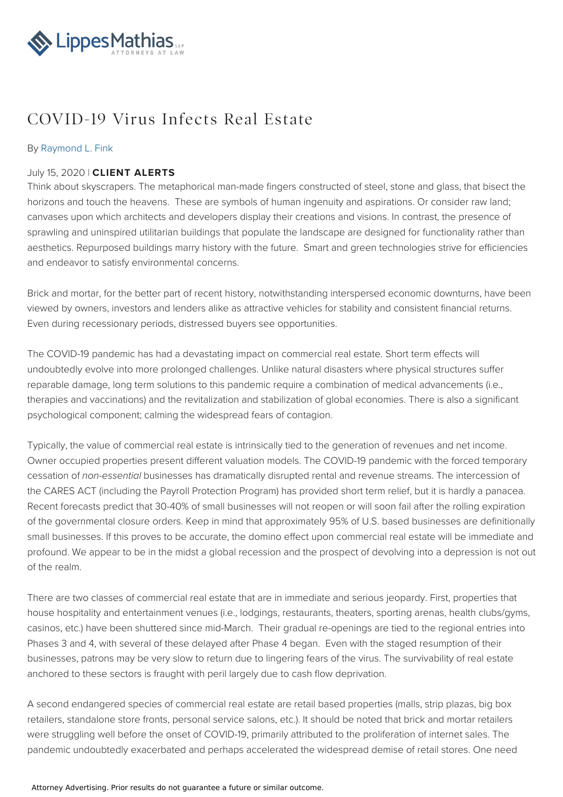

## COVID-19 Virus Infects Real Estate

## By [Raymond](file:///team/raymond-l-fink-38) L. Fink

## July 15, 2020 | **CLIENT ALERTS**

Think about skyscrapers. The metaphorical man-made fingers constructed of steel, stone and glass, that bisect the horizons and touch the heavens. These are symbols of human ingenuity and aspirations. Or consider raw land; canvases upon which architects and developers display their creations and visions. In contrast, the presence of sprawling and uninspired utilitarian buildings that populate the landscape are designed for functionality rather than aesthetics. Repurposed buildings marry history with the future. Smart and green technologies strive for efficiencies and endeavor to satisfy environmental concerns.

Brick and mortar, for the better part of recent history, notwithstanding interspersed economic downturns, have been viewed by owners, investors and lenders alike as attractive vehicles for stability and consistent financial returns. Even during recessionary periods, distressed buyers see opportunities.

The COVID-19 pandemic has had a devastating impact on commercial real estate. Short term effects will undoubtedly evolve into more prolonged challenges. Unlike natural disasters where physical structures suffer reparable damage, long term solutions to this pandemic require a combination of medical advancements (i.e., therapies and vaccinations) and the revitalization and stabilization of global economies. There is also a significant psychological component; calming the widespread fears of contagion.

Typically, the value of commercial real estate is intrinsically tied to the generation of revenues and net income. Owner occupied properties present different valuation models. The COVID-19 pandemic with the forced temporary cessation of non-essential businesses has dramatically disrupted rental and revenue streams. The intercession of the CARES ACT (including the Payroll Protection Program) has provided short term relief, but it is hardly a panacea. Recent forecasts predict that 30-40% of small businesses will not reopen or will soon fail after the rolling expiration of the governmental closure orders. Keep in mind that approximately 95% of U.S. based businesses are definitionally small businesses. If this proves to be accurate, the domino effect upon commercial real estate will be immediate and profound. We appear to be in the midst a global recession and the prospect of devolving into a depression is not out of the realm.

There are two classes of commercial real estate that are in immediate and serious jeopardy. First, properties that house hospitality and entertainment venues (i.e., lodgings, restaurants, theaters, sporting arenas, health clubs/gyms, casinos, etc.) have been shuttered since mid-March. Their gradual re-openings are tied to the regional entries into Phases 3 and 4, with several of these delayed after Phase 4 began. Even with the staged resumption of their businesses, patrons may be very slow to return due to lingering fears of the virus. The survivability of real estate anchored to these sectors is fraught with peril largely due to cash flow deprivation.

A second endangered species of commercial real estate are retail based properties (malls, strip plazas, big box retailers, standalone store fronts, personal service salons, etc.). It should be noted that brick and mortar retailers were struggling well before the onset of COVID-19, primarily attributed to the proliferation of internet sales. The pandemic undoubtedly exacerbated and perhaps accelerated the widespread demise of retail stores. One need

## Attorney Advertising. Prior results do not guarantee a future or similar outcome.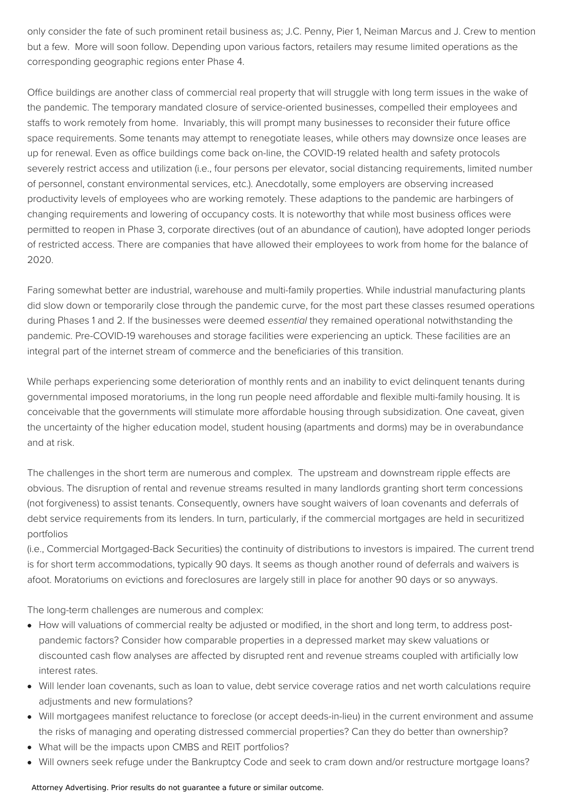only consider the fate of such prominent retail business as; J.C. Penny, Pier 1, Neiman Marcus and J. Crew to mention but a few. More will soon follow. Depending upon various factors, retailers may resume limited operations as the corresponding geographic regions enter Phase 4.

Office buildings are another class of commercial real property that will struggle with long term issues in the wake of the pandemic. The temporary mandated closure of service-oriented businesses, compelled their employees and staffs to work remotely from home. Invariably, this will prompt many businesses to reconsider their future office space requirements. Some tenants may attempt to renegotiate leases, while others may downsize once leases are up for renewal. Even as office buildings come back on-line, the COVID-19 related health and safety protocols severely restrict access and utilization (i.e., four persons per elevator, social distancing requirements, limited number of personnel, constant environmental services, etc.). Anecdotally, some employers are observing increased productivity levels of employees who are working remotely. These adaptions to the pandemic are harbingers of changing requirements and lowering of occupancy costs. It is noteworthy that while most business offices were permitted to reopen in Phase 3, corporate directives (out of an abundance of caution), have adopted longer periods of restricted access. There are companies that have allowed their employees to work from home for the balance of 2020.

Faring somewhat better are industrial, warehouse and multi-family properties. While industrial manufacturing plants did slow down or temporarily close through the pandemic curve, for the most part these classes resumed operations during Phases 1 and 2. If the businesses were deemed essential they remained operational notwithstanding the pandemic. Pre-COVID-19 warehouses and storage facilities were experiencing an uptick. These facilities are an integral part of the internet stream of commerce and the beneficiaries of this transition.

While perhaps experiencing some deterioration of monthly rents and an inability to evict delinguent tenants during governmental imposed moratoriums, in the long run people need affordable and flexible multi-family housing. It is conceivable that the governments will stimulate more affordable housing through subsidization. One caveat, given the uncertainty of the higher education model, student housing (apartments and dorms) may be in overabundance and at risk.

The challenges in the short term are numerous and complex. The upstream and downstream ripple effects are obvious. The disruption of rental and revenue streams resulted in many landlords granting short term concessions (not forgiveness) to assist tenants. Consequently, owners have sought waivers of loan covenants and deferrals of debt service requirements from its lenders. In turn, particularly, if the commercial mortgages are held in securitized portfolios

(i.e., Commercial Mortgaged-Back Securities) the continuity of distributions to investors is impaired. The current trend is for short term accommodations, typically 90 days. It seems as though another round of deferrals and waivers is afoot. Moratoriums on evictions and foreclosures are largely still in place for another 90 days or so anyways.

The long-term challenges are numerous and complex:

- How will valuations of commercial realty be adjusted or modified, in the short and long term, to address postpandemic factors? Consider how comparable properties in a depressed market may skew valuations or discounted cash flow analyses are affected by disrupted rent and revenue streams coupled with artificially low interest rates.
- Will lender loan covenants, such as loan to value, debt service coverage ratios and net worth calculations require adjustments and new formulations?
- Will mortgagees manifest reluctance to foreclose (or accept deeds-in-lieu) in the current environment and assume the risks of managing and operating distressed commercial properties? Can they do better than ownership?
- What will be the impacts upon CMBS and REIT portfolios?
- Will owners seek refuge under the Bankruptcy Code and seek to cram down and/or restructure mortgage loans?

Attorney Advertising. Prior results do not guarantee a future or similar outcome.